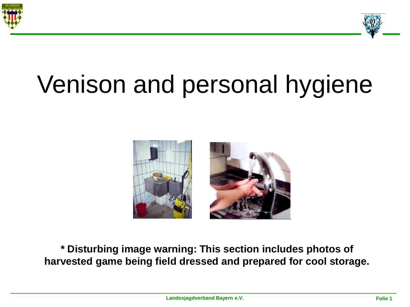



# Venison and personal hygiene



**\* Disturbing image warning: This section includes photos of harvested game being field dressed and prepared for cool storage.**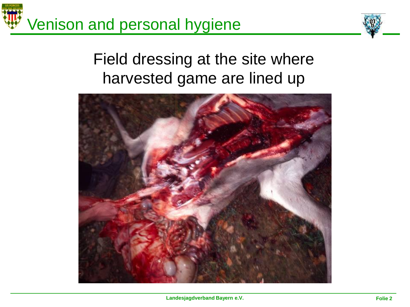

#### Field dressing at the site where harvested game are lined up

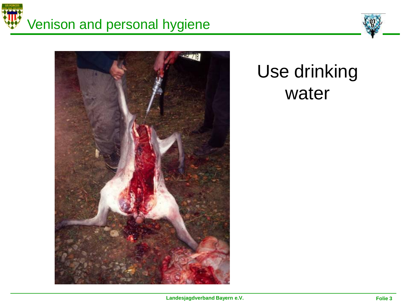# Venison and personal hygiene





### Use drinking water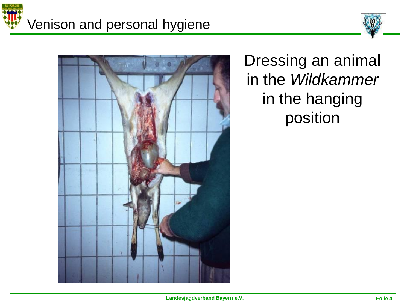





Dressing an animal in the *Wildkammer* in the hanging position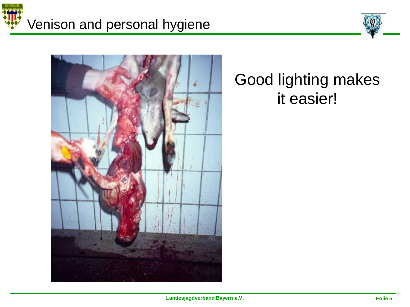





#### Good lighting makes it easier!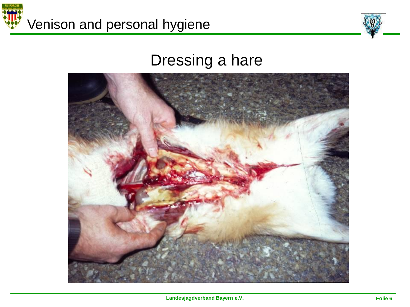



#### Dressing a hare

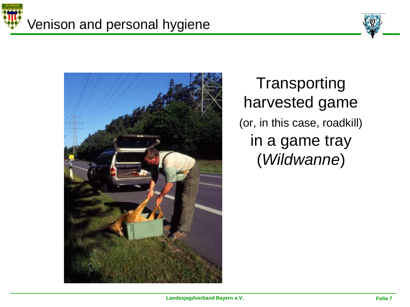





**Transporting** harvested game (or, in this case, roadkill) in a game tray (*Wildwanne*)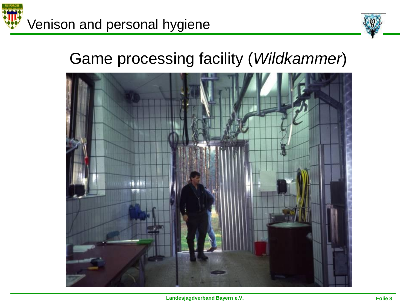



#### Game processing facility (*Wildkammer*)

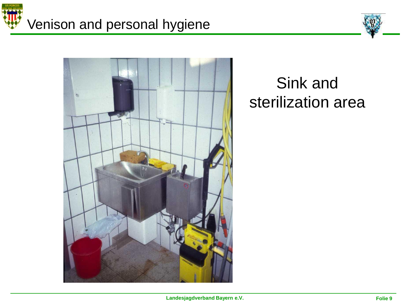





#### Sink and sterilization area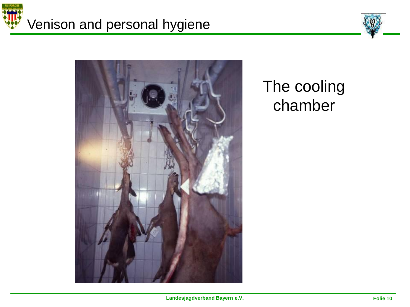





#### The cooling chamber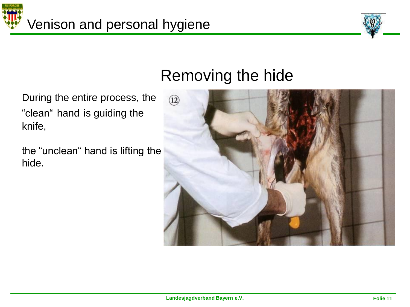



#### Removing the hide

During the entire process, the "clean" hand is guiding the knife,

the "unclean" hand is lifting the hide.

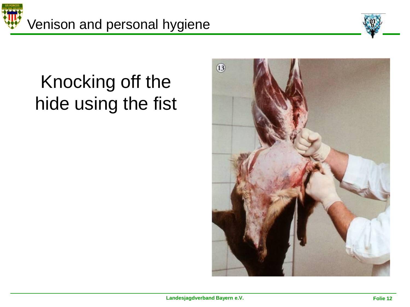



### Knocking off the hide using the fist